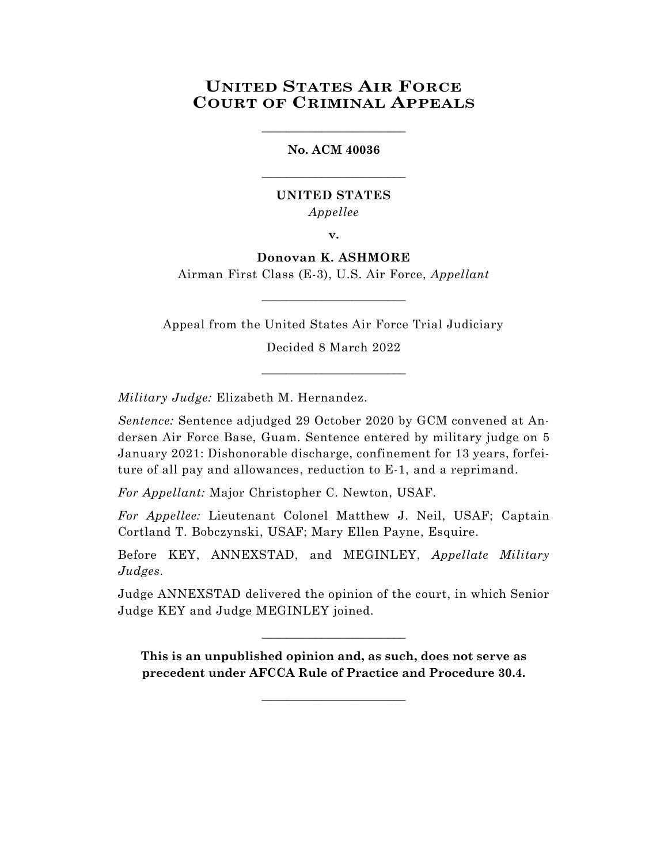# **UNITED STATES AIR FORCE COURT OF CRIMINAL APPEALS**

### **No. ACM 40036**

\_\_\_\_\_\_\_\_\_\_\_\_\_\_\_\_\_\_\_\_\_\_\_\_

\_\_\_\_\_\_\_\_\_\_\_\_\_\_\_\_\_\_\_\_\_\_\_\_

# **UNITED STATES** *Appellee*

**v.**

**Donovan K. ASHMORE**

Airman First Class (E-3), U.S. Air Force, *Appellant* \_\_\_\_\_\_\_\_\_\_\_\_\_\_\_\_\_\_\_\_\_\_\_\_

Appeal from the United States Air Force Trial Judiciary Decided 8 March 2022

\_\_\_\_\_\_\_\_\_\_\_\_\_\_\_\_\_\_\_\_\_\_\_\_

*Military Judge:* Elizabeth M. Hernandez.

*Sentence:* Sentence adjudged 29 October 2020 by GCM convened at Andersen Air Force Base, Guam. Sentence entered by military judge on 5 January 2021: Dishonorable discharge, confinement for 13 years, forfeiture of all pay and allowances, reduction to E-1, and a reprimand.

*For Appellant:* Major Christopher C. Newton, USAF.

*For Appellee:* Lieutenant Colonel Matthew J. Neil, USAF; Captain Cortland T. Bobczynski, USAF; Mary Ellen Payne, Esquire.

Before KEY, ANNEXSTAD, and MEGINLEY, *Appellate Military Judges.*

Judge ANNEXSTAD delivered the opinion of the court, in which Senior Judge KEY and Judge MEGINLEY joined.

\_\_\_\_\_\_\_\_\_\_\_\_\_\_\_\_\_\_\_\_\_\_\_\_

**This is an unpublished opinion and, as such, does not serve as precedent under AFCCA Rule of Practice and Procedure 30.4.**

\_\_\_\_\_\_\_\_\_\_\_\_\_\_\_\_\_\_\_\_\_\_\_\_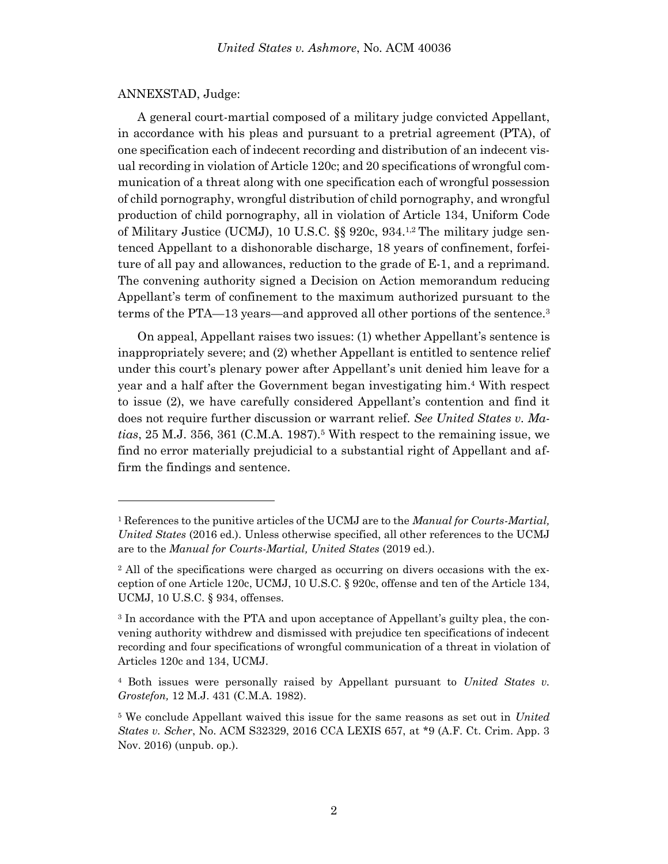#### ANNEXSTAD, Judge:

A general court-martial composed of a military judge convicted Appellant, in accordance with his pleas and pursuant to a pretrial agreement (PTA), of one specification each of indecent recording and distribution of an indecent visual recording in violation of Article 120c; and 20 specifications of wrongful communication of a threat along with one specification each of wrongful possession of child pornography, wrongful distribution of child pornography, and wrongful production of child pornography, all in violation of Article 134, Uniform Code of Military Justice (UCMJ), 10 U.S.C.  $\S$  920c, 934.<sup>1,2</sup> The military judge sentenced Appellant to a dishonorable discharge, 18 years of confinement, forfeiture of all pay and allowances, reduction to the grade of E-1, and a reprimand. The convening authority signed a Decision on Action memorandum reducing Appellant's term of confinement to the maximum authorized pursuant to the terms of the PTA—13 years—and approved all other portions of the sentence.<sup>3</sup>

On appeal, Appellant raises two issues: (1) whether Appellant's sentence is inappropriately severe; and (2) whether Appellant is entitled to sentence relief under this court's plenary power after Appellant's unit denied him leave for a year and a half after the Government began investigating him. <sup>4</sup> With respect to issue (2), we have carefully considered Appellant's contention and find it does not require further discussion or warrant relief. *See United States v. Matias*, 25 M.J. 356, 361 (C.M.A. 1987).<sup>5</sup> With respect to the remaining issue, we find no error materially prejudicial to a substantial right of Appellant and affirm the findings and sentence.

<sup>1</sup> References to the punitive articles of the UCMJ are to the *Manual for Courts-Martial, United States* (2016 ed.). Unless otherwise specified, all other references to the UCMJ are to the *Manual for Courts-Martial, United States* (2019 ed.).

<sup>&</sup>lt;sup>2</sup> All of the specifications were charged as occurring on divers occasions with the exception of one Article 120c, UCMJ, 10 U.S.C. § 920c, offense and ten of the Article 134, UCMJ, 10 U.S.C. § 934, offenses.

<sup>3</sup> In accordance with the PTA and upon acceptance of Appellant's guilty plea, the convening authority withdrew and dismissed with prejudice ten specifications of indecent recording and four specifications of wrongful communication of a threat in violation of Articles 120c and 134, UCMJ.

<sup>4</sup> Both issues were personally raised by Appellant pursuant to *United States v. Grostefon,* 12 M.J. 431 (C.M.A. 1982).

<sup>5</sup> We conclude Appellant waived this issue for the same reasons as set out in *United States v. Scher*, No. ACM S32329, 2016 CCA LEXIS 657, at \*9 (A.F. Ct. Crim. App. 3 Nov. 2016) (unpub. op.).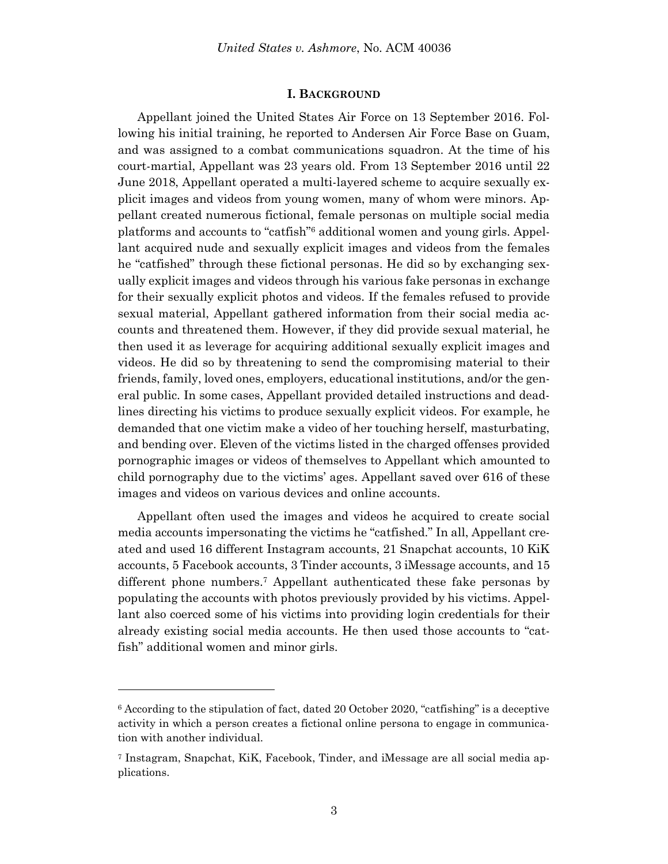#### **I. BACKGROUND**

Appellant joined the United States Air Force on 13 September 2016. Following his initial training, he reported to Andersen Air Force Base on Guam, and was assigned to a combat communications squadron. At the time of his court-martial, Appellant was 23 years old. From 13 September 2016 until 22 June 2018, Appellant operated a multi-layered scheme to acquire sexually explicit images and videos from young women, many of whom were minors. Appellant created numerous fictional, female personas on multiple social media platforms and accounts to "catfish"<sup>6</sup> additional women and young girls. Appellant acquired nude and sexually explicit images and videos from the females he "catfished" through these fictional personas. He did so by exchanging sexually explicit images and videos through his various fake personas in exchange for their sexually explicit photos and videos. If the females refused to provide sexual material, Appellant gathered information from their social media accounts and threatened them. However, if they did provide sexual material, he then used it as leverage for acquiring additional sexually explicit images and videos. He did so by threatening to send the compromising material to their friends, family, loved ones, employers, educational institutions, and/or the general public. In some cases, Appellant provided detailed instructions and deadlines directing his victims to produce sexually explicit videos. For example, he demanded that one victim make a video of her touching herself, masturbating, and bending over. Eleven of the victims listed in the charged offenses provided pornographic images or videos of themselves to Appellant which amounted to child pornography due to the victims' ages. Appellant saved over 616 of these images and videos on various devices and online accounts.

Appellant often used the images and videos he acquired to create social media accounts impersonating the victims he "catfished." In all, Appellant created and used 16 different Instagram accounts, 21 Snapchat accounts, 10 KiK accounts, 5 Facebook accounts, 3 Tinder accounts, 3 iMessage accounts, and 15 different phone numbers.<sup>7</sup> Appellant authenticated these fake personas by populating the accounts with photos previously provided by his victims. Appellant also coerced some of his victims into providing login credentials for their already existing social media accounts. He then used those accounts to "catfish" additional women and minor girls.

l

 $6$  According to the stipulation of fact, dated 20 October 2020, "catfishing" is a deceptive activity in which a person creates a fictional online persona to engage in communication with another individual.

<sup>7</sup> Instagram, Snapchat, KiK, Facebook, Tinder, and iMessage are all social media applications.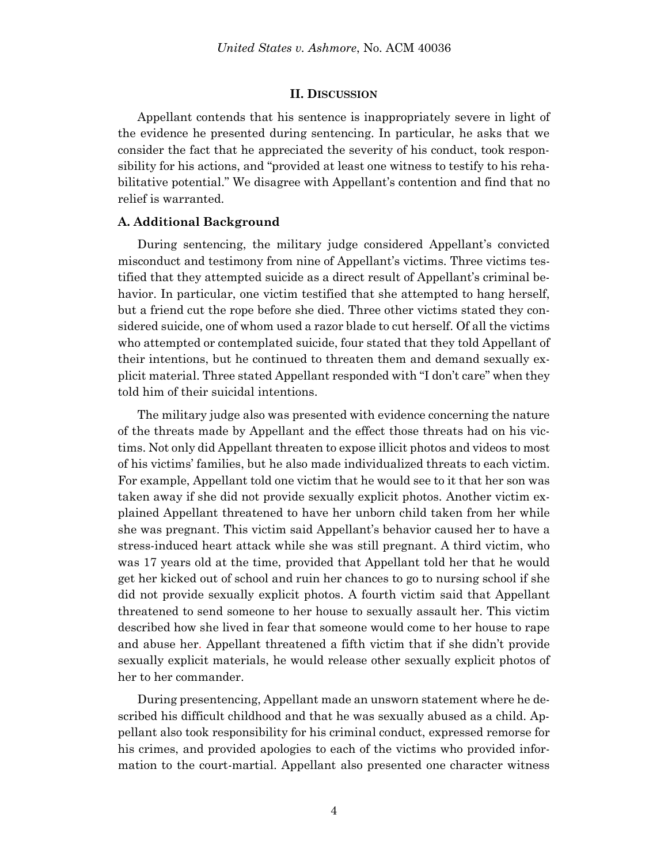#### **II. DISCUSSION**

Appellant contends that his sentence is inappropriately severe in light of the evidence he presented during sentencing. In particular, he asks that we consider the fact that he appreciated the severity of his conduct, took responsibility for his actions, and "provided at least one witness to testify to his rehabilitative potential." We disagree with Appellant's contention and find that no relief is warranted.

### **A. Additional Background**

During sentencing, the military judge considered Appellant's convicted misconduct and testimony from nine of Appellant's victims. Three victims testified that they attempted suicide as a direct result of Appellant's criminal behavior. In particular, one victim testified that she attempted to hang herself, but a friend cut the rope before she died. Three other victims stated they considered suicide, one of whom used a razor blade to cut herself. Of all the victims who attempted or contemplated suicide, four stated that they told Appellant of their intentions, but he continued to threaten them and demand sexually explicit material. Three stated Appellant responded with "I don't care" when they told him of their suicidal intentions.

The military judge also was presented with evidence concerning the nature of the threats made by Appellant and the effect those threats had on his victims. Not only did Appellant threaten to expose illicit photos and videos to most of his victims' families, but he also made individualized threats to each victim. For example, Appellant told one victim that he would see to it that her son was taken away if she did not provide sexually explicit photos. Another victim explained Appellant threatened to have her unborn child taken from her while she was pregnant. This victim said Appellant's behavior caused her to have a stress-induced heart attack while she was still pregnant. A third victim, who was 17 years old at the time, provided that Appellant told her that he would get her kicked out of school and ruin her chances to go to nursing school if she did not provide sexually explicit photos. A fourth victim said that Appellant threatened to send someone to her house to sexually assault her. This victim described how she lived in fear that someone would come to her house to rape and abuse her. Appellant threatened a fifth victim that if she didn't provide sexually explicit materials, he would release other sexually explicit photos of her to her commander.

During presentencing, Appellant made an unsworn statement where he described his difficult childhood and that he was sexually abused as a child. Appellant also took responsibility for his criminal conduct, expressed remorse for his crimes, and provided apologies to each of the victims who provided information to the court-martial. Appellant also presented one character witness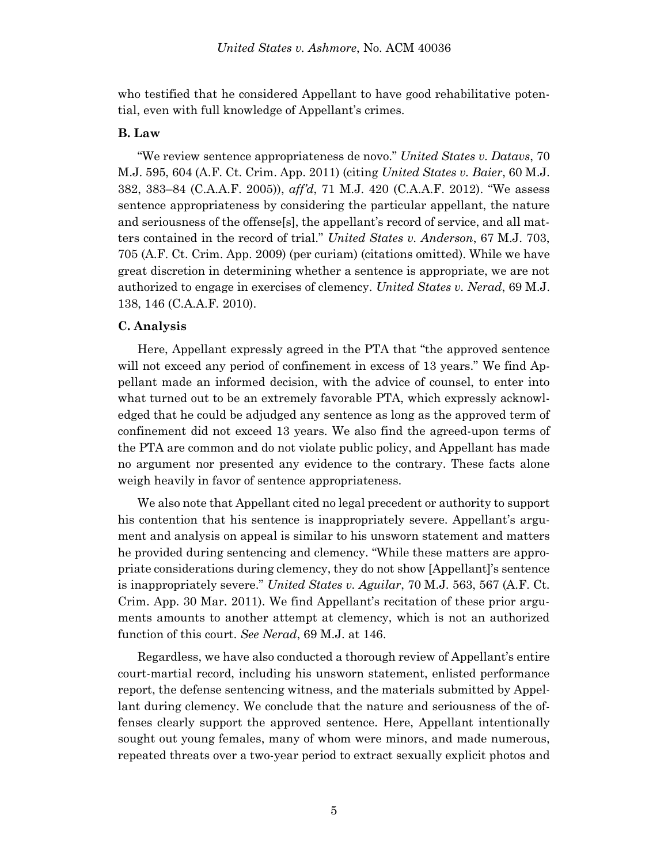who testified that he considered Appellant to have good rehabilitative potential, even with full knowledge of Appellant's crimes.

## **B. Law**

"We review sentence appropriateness de novo." *United States v. Datavs*, 70 M.J. 595, 604 (A.F. Ct. Crim. App. 2011) (citing *United States v. Baier*, 60 M.J. 382, 383–84 (C.A.A.F. 2005)), *aff'd*, 71 M.J. 420 (C.A.A.F. 2012). "We assess sentence appropriateness by considering the particular appellant, the nature and seriousness of the offense[s], the appellant's record of service, and all matters contained in the record of trial." *United States v. Anderson*, 67 M.J. 703, 705 (A.F. Ct. Crim. App. 2009) (per curiam) (citations omitted). While we have great discretion in determining whether a sentence is appropriate, we are not authorized to engage in exercises of clemency. *United States v. Nerad*, 69 M.J. 138, 146 (C.A.A.F. 2010).

#### **C. Analysis**

Here, Appellant expressly agreed in the PTA that "the approved sentence will not exceed any period of confinement in excess of 13 years." We find Appellant made an informed decision, with the advice of counsel, to enter into what turned out to be an extremely favorable PTA, which expressly acknowledged that he could be adjudged any sentence as long as the approved term of confinement did not exceed 13 years. We also find the agreed-upon terms of the PTA are common and do not violate public policy, and Appellant has made no argument nor presented any evidence to the contrary. These facts alone weigh heavily in favor of sentence appropriateness.

We also note that Appellant cited no legal precedent or authority to support his contention that his sentence is inappropriately severe. Appellant's argument and analysis on appeal is similar to his unsworn statement and matters he provided during sentencing and clemency. "While these matters are appropriate considerations during clemency, they do not show [Appellant]'s sentence is inappropriately severe." *United States v. Aguilar*, 70 M.J. 563, 567 (A.F. Ct. Crim. App. 30 Mar. 2011). We find Appellant's recitation of these prior arguments amounts to another attempt at clemency, which is not an authorized function of this court. *See Nerad*, 69 M.J. at 146.

Regardless, we have also conducted a thorough review of Appellant's entire court-martial record, including his unsworn statement, enlisted performance report, the defense sentencing witness, and the materials submitted by Appellant during clemency. We conclude that the nature and seriousness of the offenses clearly support the approved sentence. Here, Appellant intentionally sought out young females, many of whom were minors, and made numerous, repeated threats over a two-year period to extract sexually explicit photos and